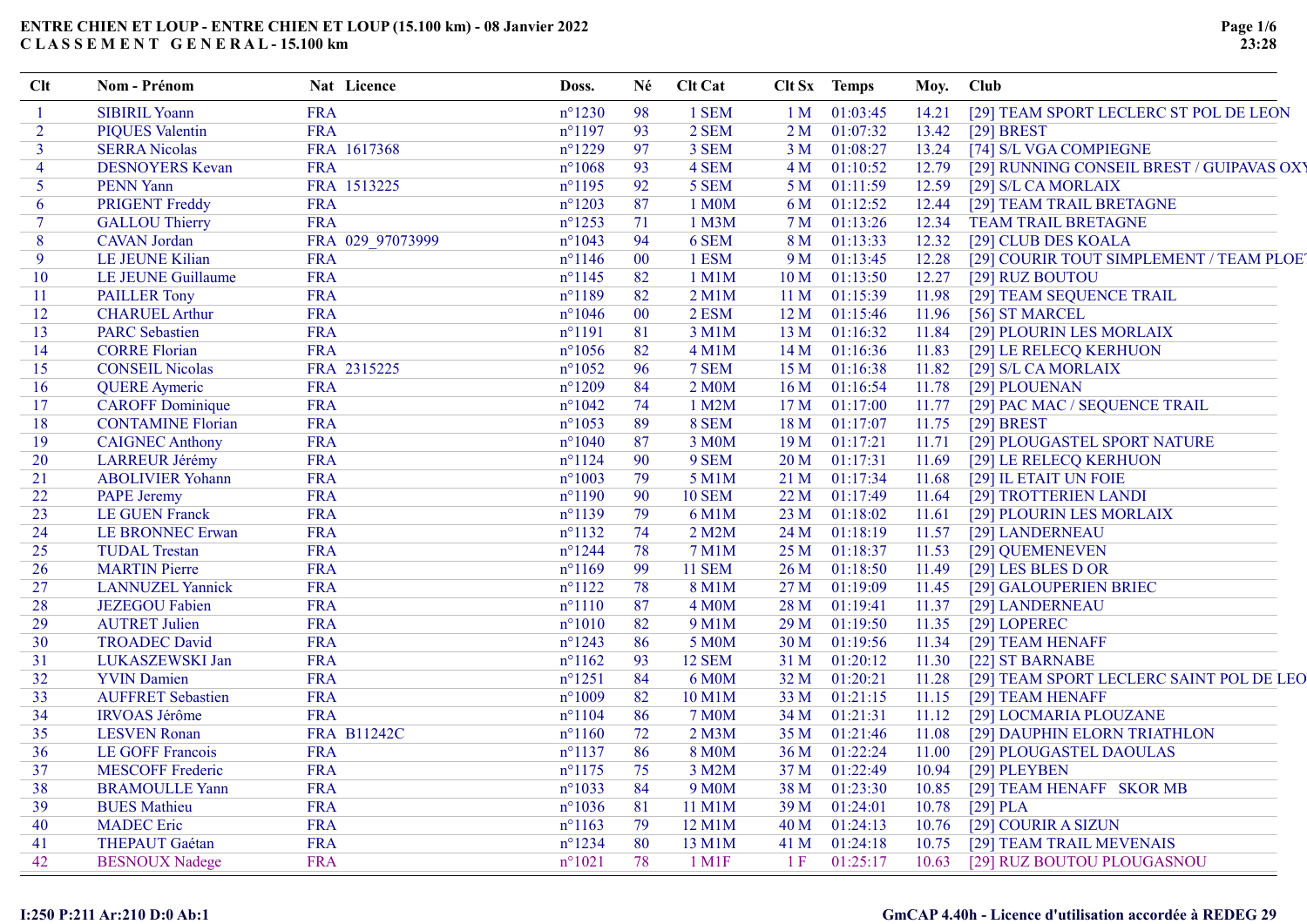| Clt                      | Nom - Prénom             | Nat Licence        | Doss.            | Né     | Clt Cat                |                 | Clt Sx Temps  | Moy. Club |                                           |
|--------------------------|--------------------------|--------------------|------------------|--------|------------------------|-----------------|---------------|-----------|-------------------------------------------|
|                          | <b>SIBIRIL Yoann</b>     | <b>FRA</b>         | $n^{\circ}$ 1230 | 98     | 1 SEM                  | 1 M             | 01:03:45      | 14.21     | [29] TEAM SPORT LECLERC ST POL DE LEON    |
| $\overline{2}$           | <b>PIQUES Valentin</b>   | <b>FRA</b>         | $n^{\circ}1197$  | 93     | 2 SEM                  | 2 <sub>M</sub>  | 01:07:32      | 13.42     | $[29]$ BREST                              |
| 3                        | <b>SERRA Nicolas</b>     | FRA 1617368        | $n^{\circ}1229$  | 97     | 3 SEM                  | 3 M             | 01:08:27      | 13.24     | [74] S/L VGA COMPIEGNE                    |
| $\overline{\mathcal{A}}$ | <b>DESNOYERS Kevan</b>   | <b>FRA</b>         | $n^{\circ}1068$  | 93     | 4 SEM                  | 4 <sub>M</sub>  | 01:10:52      | 12.79     | [29] RUNNING CONSEIL BREST / GUIPAVAS OXY |
| 5                        | <b>PENN Yann</b>         | FRA 1513225        | $n^{\circ}1195$  | 92     | 5 SEM                  | 5 M             | 01:11:59      | 12.59     | [29] S/L CA MORLAIX                       |
| 6                        | <b>PRIGENT Freddy</b>    | <b>FRA</b>         | $n^{\circ}1203$  | 87     | 1 M0M                  | 6 M             | 01:12:52      | 12.44     | [29] TEAM TRAIL BRETAGNE                  |
| $\tau$                   | <b>GALLOU Thierry</b>    | <b>FRA</b>         | $n^{\circ}$ 1253 | 71     | 1 M3M                  | 7 M             | 01:13:26      | 12.34     | <b>TEAM TRAIL BRETAGNE</b>                |
| 8                        | <b>CAVAN</b> Jordan      | FRA 029 97073999   | $n^{\circ}1043$  | 94     | 6 SEM                  | 8 M             | 01:13:33      | 12.32     | [29] CLUB DES KOALA                       |
| 9                        | LE JEUNE Kilian          | <b>FRA</b>         | $n^{\circ}$ 1146 | $00\,$ | 1 ESM                  | 9 M             | 01:13:45      | 12.28     | [29] COURIR TOUT SIMPLEMENT / TEAM PLOET  |
| 10                       | LE JEUNE Guillaume       | <b>FRA</b>         | $n^{\circ}$ 1145 | 82     | 1 M1M                  | 10 M            | 01:13:50      | 12.27     | [29] RUZ BOUTOU                           |
| 11                       | <b>PAILLER Tony</b>      | <b>FRA</b>         | $n^{\circ}1189$  | 82     | $2$ M $1$ M            | 11 <sub>M</sub> | 01:15:39      | 11.98     | [29] TEAM SEQUENCE TRAIL                  |
| 12                       | <b>CHARUEL Arthur</b>    | <b>FRA</b>         | $n^{\circ}1046$  | $00\,$ | 2 ESM                  | 12M             | 01:15:46      | 11.96     | [56] ST MARCEL                            |
| 13                       | <b>PARC</b> Sebastien    | <b>FRA</b>         | $n^{\circ}1191$  | 81     | 3 M1M                  | 13 <sub>M</sub> | 01:16:32      | 11.84     | [29] PLOURIN LES MORLAIX                  |
| 14                       | <b>CORRE Florian</b>     | <b>FRA</b>         | $n^{\circ}1056$  | 82     | <b>4 M1M</b>           | 14M             | 01:16:36      | 11.83     | [29] LE RELECQ KERHUON                    |
| 15                       | <b>CONSEIL Nicolas</b>   | FRA 2315225        | $n^{\circ}1052$  | 96     | 7 SEM                  | 15 <sub>M</sub> | 01:16:38      | 11.82     | [29] S/L CA MORLAIX                       |
| 16                       | <b>QUERE</b> Aymeric     | <b>FRA</b>         | $n^{\circ}1209$  | 84     | 2 M0M                  | 16M             | 01:16:54      | 11.78     | [29] PLOUENAN                             |
| 17                       | <b>CAROFF</b> Dominique  | <b>FRA</b>         | $n^{\circ}1042$  | 74     | 1 M2M                  | 17 <sub>M</sub> | 01:17:00      | 11.77     | [29] PAC MAC / SEQUENCE TRAIL             |
| 18                       | <b>CONTAMINE Florian</b> | <b>FRA</b>         | $n^{\circ}1053$  | 89     | 8 SEM                  | 18 M            | 01:17:07      | 11.75     | $[29]$ BREST                              |
| 19                       | <b>CAIGNEC Anthony</b>   | <b>FRA</b>         | $n^{\circ}1040$  | 87     | 3 M0M                  | 19 <sub>M</sub> | 01:17:21      | 11.71     | [29] PLOUGASTEL SPORT NATURE              |
| 20                       | <b>LARREUR Jérémy</b>    | <b>FRA</b>         | $n^{\circ}1124$  | 90     | 9 SEM                  | 20 M            | 01:17:31      | 11.69     | [29] LE RELECQ KERHUON                    |
| 21                       | <b>ABOLIVIER Yohann</b>  | <b>FRA</b>         | $n^{\circ}1003$  | 79     | 5 M1M                  |                 | 21 M 01:17:34 | 11.68     | [29] IL ETAIT UN FOIE                     |
| 22                       | <b>PAPE Jeremy</b>       | <b>FRA</b>         | $n^{\circ}1190$  | 90     | <b>10 SEM</b>          |                 | 22 M 01:17:49 | 11.64     | [29] TROTTERIEN LANDI                     |
| 23                       | <b>LE GUEN Franck</b>    | <b>FRA</b>         | $n^{\circ}$ 1139 | 79     | 6 M1M                  |                 | 23 M 01:18:02 | 11.61     | [29] PLOURIN LES MORLAIX                  |
| 24                       | <b>LE BRONNEC Erwan</b>  | <b>FRA</b>         | $n^{\circ}1132$  | 74     | 2 M2M                  |                 | 24 M 01:18:19 | 11.57     | [29] LANDERNEAU                           |
| 25                       | <b>TUDAL Trestan</b>     | <b>FRA</b>         | $n^{\circ}$ 1244 | 78     | 7 M1M                  | 25 M            | 01:18:37      | 11.53     | [29] QUEMENEVEN                           |
| 26                       | <b>MARTIN</b> Pierre     | <b>FRA</b>         | $n^{\circ}1169$  | 99     | <b>11 SEM</b>          | 26 <sub>M</sub> | 01:18:50      | 11.49     | [29] LES BLES D OR                        |
| 27                       | <b>LANNUZEL Yannick</b>  | <b>FRA</b>         | $n^{\circ}1122$  | 78     | 8 M1M                  | 27 M            | 01:19:09      | 11.45     | [29] GALOUPERIEN BRIEC                    |
| 28                       | <b>JEZEGOU Fabien</b>    | <b>FRA</b>         | $n^{\circ}1110$  | 87     | 4 M <sub>0</sub> M     | 28 M            | 01:19:41      | 11.37     | [29] LANDERNEAU                           |
| 29                       | <b>AUTRET Julien</b>     | <b>FRA</b>         | $n^{\circ}1010$  | 82     | 9 M1M                  | 29 M            | 01:19:50      | 11.35     | [29] LOPEREC                              |
| 30                       | <b>TROADEC David</b>     | <b>FRA</b>         | $n^{\circ}$ 1243 | 86     | 5 M0M                  |                 | 30 M 01:19:56 | 11.34     | [29] TEAM HENAFF                          |
| 31                       | LUKASZEWSKI Jan          | <b>FRA</b>         | $n^{\circ}1162$  | 93     | <b>12 SEM</b>          | 31 M            | 01:20:12      | 11.30     | [22] ST BARNABE                           |
| 32                       | <b>YVIN Damien</b>       | <b>FRA</b>         | $n^{\circ}$ 1251 | 84     | 6 M0M                  | 32 M            | 01:20:21      | 11.28     | [29] TEAM SPORT LECLERC SAINT POL DE LEO  |
| 33                       | <b>AUFFRET Sebastien</b> | <b>FRA</b>         | $n^{\circ}1009$  | 82     | 10 M1M                 | 33 M            | 01:21:15      | 11.15     | [29] TEAM HENAFF                          |
| 34                       | <b>IRVOAS Jérôme</b>     | <b>FRA</b>         | $n^{\circ}1104$  | 86     | <b>7 M0M</b>           | 34 M            | 01:21:31      | 11.12     | [29] LOCMARIA PLOUZANE                    |
| 35                       | <b>LESVEN Ronan</b>      | <b>FRA B11242C</b> | $n^{\circ}1160$  | 72     | $2$ M $3$ M            |                 | 35 M 01:21:46 | 11.08     | [29] DAUPHIN ELORN TRIATHLON              |
| 36                       | LE GOFF Francois         | <b>FRA</b>         | $n^{\circ}1137$  | 86     | <b>8 M0M</b>           | 36 M            | 01:22:24      | 11.00     | [29] PLOUGASTEL DAOULAS                   |
| 37                       | <b>MESCOFF Frederic</b>  | <b>FRA</b>         | $n^{\circ}1175$  | 75     | 3 M2M                  |                 | 37 M 01:22:49 | 10.94     | [29] PLEYBEN                              |
| 38                       | <b>BRAMOULLE Yann</b>    | <b>FRA</b>         | $n^{\circ}1033$  | 84     | 9 M <sub>0</sub> M     | 38 M            | 01:23:30      | 10.85     | [29] TEAM HENAFF SKOR MB                  |
| 39                       | <b>BUES</b> Mathieu      | <b>FRA</b>         | $n^{\circ}1036$  | 81     | 11 M1M                 | 39 M            | 01:24:01      | 10.78     | $[29]$ PLA                                |
| 40                       | <b>MADEC</b> Eric        | <b>FRA</b>         | $n^{\circ}1163$  | 79     | 12 M1M                 | 40 M            | 01:24:13      | 10.76     | [29] COURIR A SIZUN                       |
| 41                       | <b>THEPAUT Gaétan</b>    | <b>FRA</b>         | $n^{\circ}$ 1234 | 80     | 13 M1M                 | 41 M            | 01:24:18      | 10.75     | [29] TEAM TRAIL MEVENAIS                  |
| 42                       | <b>BESNOUX Nadege</b>    | <b>FRA</b>         | $n^{\circ}1021$  | 78     | $1$ M <sub>1</sub> $F$ | 1 F             | 01:25:17      | 10.63     | [29] RUZ BOUTOU PLOUGASNOU                |
|                          |                          |                    |                  |        |                        |                 |               |           |                                           |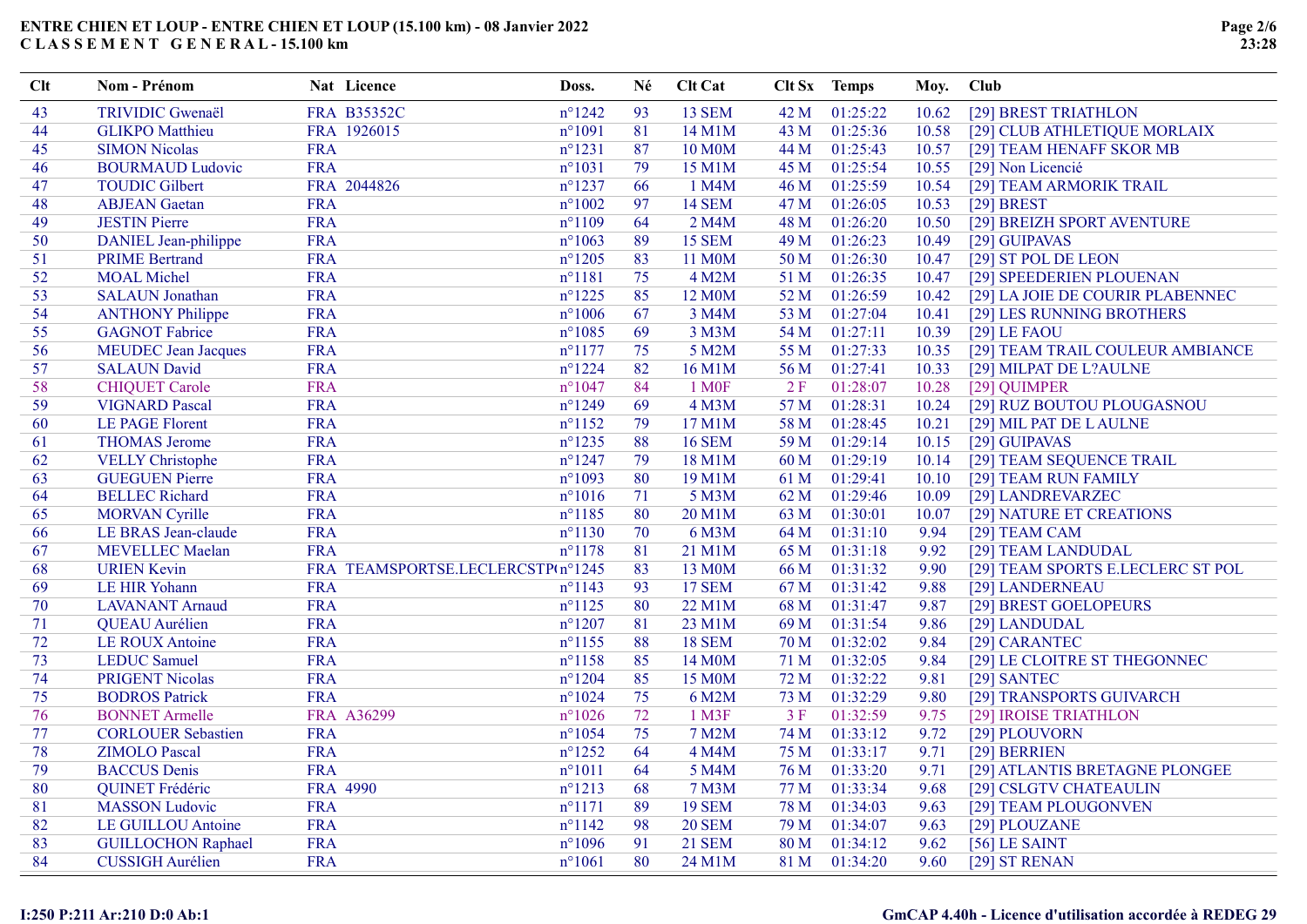| Clt | Nom - Prénom               | Nat Licence | Doss.                             | Né  | <b>Clt Cat</b>    |      | Clt Sx Temps  | Moy.  | Club                              |
|-----|----------------------------|-------------|-----------------------------------|-----|-------------------|------|---------------|-------|-----------------------------------|
| 43  | <b>TRIVIDIC Gwenaël</b>    | FRA B35352C | $n^{\circ}$ 1242                  | 93  | <b>13 SEM</b>     | 42 M | 01:25:22      | 10.62 | [29] BREST TRIATHLON              |
| 44  | <b>GLIKPO</b> Matthieu     | FRA 1926015 | $n^{\circ}1091$                   | 81  | 14 M1M            | 43 M | 01:25:36      | 10.58 | [29] CLUB ATHLETIQUE MORLAIX      |
| 45  | <b>SIMON Nicolas</b>       | <b>FRA</b>  | $n^{\circ}1231$                   | 87  | 10 M0M            | 44 M | 01:25:43      | 10.57 | [29] TEAM HENAFF SKOR MB          |
| 46  | <b>BOURMAUD Ludovic</b>    | FRA         | $n^{\circ}1031$                   | 79  | 15 M1M            | 45 M | 01:25:54      | 10.55 | [29] Non Licencié                 |
| 47  | <b>TOUDIC Gilbert</b>      | FRA 2044826 | $n^{\circ}$ 1237                  | 66  | 1 M4M             | 46 M | 01:25:59      | 10.54 | [29] TEAM ARMORIK TRAIL           |
| 48  | <b>ABJEAN</b> Gaetan       | <b>FRA</b>  | $n^{\circ}1002$                   | 97  | <b>14 SEM</b>     | 47 M | 01:26:05      | 10.53 | $[29]$ BREST                      |
| 49  | <b>JESTIN Pierre</b>       | <b>FRA</b>  | $n^{\circ}1109$                   | -64 | 2 M4M             | 48 M | 01:26:20      | 10.50 | [29] BREIZH SPORT AVENTURE        |
| 50  | DANIEL Jean-philippe       | FRA         | $n^{\circ}1063$                   | 89  | <b>15 SEM</b>     | 49 M | 01:26:23      | 10.49 | [29] GUIPAVAS                     |
| 51  | <b>PRIME Bertrand</b>      | <b>FRA</b>  | $n^{\circ}$ 1205                  | 83  | 11 M0M            | 50 M | 01:26:30      | 10.47 | [29] ST POL DE LEON               |
| 52  | <b>MOAL</b> Michel         | <b>FRA</b>  | $n^{\circ}1181$                   | 75  | 4 M2M             | 51 M | 01:26:35      | 10.47 | [29] SPEEDERIEN PLOUENAN          |
| 53  | <b>SALAUN</b> Jonathan     | <b>FRA</b>  | $n^{\circ}$ 1225                  | 85  | 12 M0M            | 52 M | 01:26:59      | 10.42 | [29] LA JOIE DE COURIR PLABENNEC  |
| 54  | <b>ANTHONY Philippe</b>    | <b>FRA</b>  | $n^{\circ}1006$                   | 67  | 3 M4M             | 53 M | 01:27:04      | 10.41 | [29] LES RUNNING BROTHERS         |
| 55  | <b>GAGNOT Fabrice</b>      | <b>FRA</b>  | $n^{\circ}1085$                   | 69  | 3 M3M             | 54 M | 01:27:11      | 10.39 | $[29]$ LE FAOU                    |
| 56  | <b>MEUDEC</b> Jean Jacques | FRA         | $n^{\circ}1177$                   | 75  | 5 M2M             | 55 M | 01:27:33      | 10.35 | [29] TEAM TRAIL COULEUR AMBIANCE  |
| 57  | <b>SALAUN David</b>        | <b>FRA</b>  | $n^{\circ}$ 1224                  | 82  | 16 M1M            | 56 M | 01:27:41      | 10.33 | [29] MILPAT DE L?AULNE            |
| 58  | <b>CHIQUET Carole</b>      | <b>FRA</b>  | $n^{\circ}1047$                   | 84  | 1 M <sub>OF</sub> | 2F   | 01:28:07      | 10.28 | [29] QUIMPER                      |
| 59  | <b>VIGNARD Pascal</b>      | <b>FRA</b>  | $n^{\circ}1249$                   | 69  | 4 M3M             | 57 M | 01:28:31      | 10.24 | [29] RUZ BOUTOU PLOUGASNOU        |
| 60  | <b>LE PAGE Florent</b>     | <b>FRA</b>  | $n^{\circ}1152$                   | 79  | 17 M1M            | 58 M | 01:28:45      | 10.21 | [29] MIL PAT DE LAULNE            |
| 61  | <b>THOMAS Jerome</b>       | <b>FRA</b>  | $n^{\circ}$ 1235                  | 88  | <b>16 SEM</b>     | 59 M | 01:29:14      | 10.15 | [29] GUIPAVAS                     |
| 62  | <b>VELLY Christophe</b>    | <b>FRA</b>  | $n^{\circ}$ 1247                  | 79  | 18 M1M            | 60 M | 01:29:19      | 10.14 | [29] TEAM SEQUENCE TRAIL          |
| 63  | <b>GUEGUEN Pierre</b>      | <b>FRA</b>  | $n^{\circ}1093$                   | 80  | 19 M1M            | 61 M | 01:29:41      | 10.10 | [29] TEAM RUN FAMILY              |
| 64  | <b>BELLEC</b> Richard      | <b>FRA</b>  | $n^{\circ}1016$                   | 71  | 5 M3M             | 62 M | 01:29:46      | 10.09 | [29] LANDREVARZEC                 |
| 65  | <b>MORVAN Cyrille</b>      | <b>FRA</b>  | $n^{\circ}$ 1185                  | 80  | 20 M1M            | 63 M | 01:30:01      | 10.07 | [29] NATURE ET CREATIONS          |
| 66  | LE BRAS Jean-claude        | <b>FRA</b>  | $n^{\circ}1130$                   | 70  | 6 M3M             | 64 M | 01:31:10      | 9.94  | [29] TEAM CAM                     |
| 67  | <b>MEVELLEC Maelan</b>     | <b>FRA</b>  | $n^{\circ}1178$                   | 81  | 21 M1M            | 65 M | 01:31:18      | 9.92  | [29] TEAM LANDUDAL                |
| 68  | <b>URIEN Kevin</b>         |             | FRA TEAMSPORTSE.LECLERCSTP(n°1245 | 83  | 13 M0M            | 66 M | 01:31:32      | 9.90  | [29] TEAM SPORTS E.LECLERC ST POL |
| 69  | LE HIR Yohann              | <b>FRA</b>  | $n^{\circ}$ 1143                  | 93  | <b>17 SEM</b>     | 67 M | 01:31:42      | 9.88  | [29] LANDERNEAU                   |
| 70  | <b>LAVANANT</b> Arnaud     | <b>FRA</b>  | $n^{\circ}1125$                   | 80  | 22 M1M            | 68 M | 01:31:47      | 9.87  | [29] BREST GOELOPEURS             |
| 71  | QUEAU Aurélien             | <b>FRA</b>  | $n^{\circ}1207$                   | 81  | 23 M1M            | 69 M | 01:31:54      | 9.86  | [29] LANDUDAL                     |
| 72  | <b>LE ROUX Antoine</b>     | <b>FRA</b>  | $n^{\circ}$ 1155                  | 88  | <b>18 SEM</b>     | 70 M | 01:32:02      | 9.84  | [29] CARANTEC                     |
| 73  | <b>LEDUC</b> Samuel        | <b>FRA</b>  | $n^{\circ}$ 1158                  | 85  | 14 M0M            | 71 M | 01:32:05      | 9.84  | [29] LE CLOITRE ST THEGONNEC      |
| 74  | <b>PRIGENT Nicolas</b>     | <b>FRA</b>  | $n^{\circ}$ 1204                  | 85  | 15 M0M            | 72 M | 01:32:22      | 9.81  | [29] SANTEC                       |
| 75  | <b>BODROS Patrick</b>      | <b>FRA</b>  | $n^{\circ}1024$                   | 75  | 6 M2M             | 73 M | 01:32:29      | 9.80  | [29] TRANSPORTS GUIVARCH          |
| 76  | <b>BONNET Armelle</b>      | FRA A36299  | $n^{\circ}1026$                   | 72  | 1 M3F             | 3F   | 01:32:59      | 9.75  | [29] IROISE TRIATHLON             |
| 77  | <b>CORLOUER Sebastien</b>  | <b>FRA</b>  | $n^{\circ}1054$                   | 75  | <b>7 M2M</b>      | 74 M | 01:33:12      | 9.72  | [29] PLOUVORN                     |
| 78  | <b>ZIMOLO Pascal</b>       | <b>FRA</b>  | $n^{\circ}$ 1252                  | 64  | 4 M4M             | 75 M | 01:33:17      | 9.71  | [29] BERRIEN                      |
| 79  | <b>BACCUS</b> Denis        | <b>FRA</b>  | $n^{\circ}1011$                   | 64  | 5 M4M             | 76 M | 01:33:20      | 9.71  | [29] ATLANTIS BRETAGNE PLONGEE    |
| 80  | QUINET Frédéric            | FRA 4990    | $n^{\circ}1213$                   | 68  | <b>7 M3M</b>      | 77 M | 01:33:34      | 9.68  | [29] CSLGTV CHATEAULIN            |
| 81  | <b>MASSON</b> Ludovic      | <b>FRA</b>  | $n^{\circ}1171$                   | 89  | <b>19 SEM</b>     | 78 M | 01:34:03      | 9.63  | [29] TEAM PLOUGONVEN              |
| 82  | LE GUILLOU Antoine         | <b>FRA</b>  | $n^{\circ}1142$                   | 98  | <b>20 SEM</b>     | 79 M | 01:34:07      | 9.63  | [29] PLOUZANE                     |
| 83  | <b>GUILLOCHON Raphael</b>  | <b>FRA</b>  | $n^{\circ}1096$                   | 91  | <b>21 SEM</b>     | 80 M | 01:34:12      | 9.62  | $[56]$ LE SAINT                   |
| 84  | <b>CUSSIGH Aurélien</b>    | <b>FRA</b>  | $n^{\circ}1061$                   | 80  | 24 M1M            |      | 81 M 01:34:20 | 9.60  | [29] ST RENAN                     |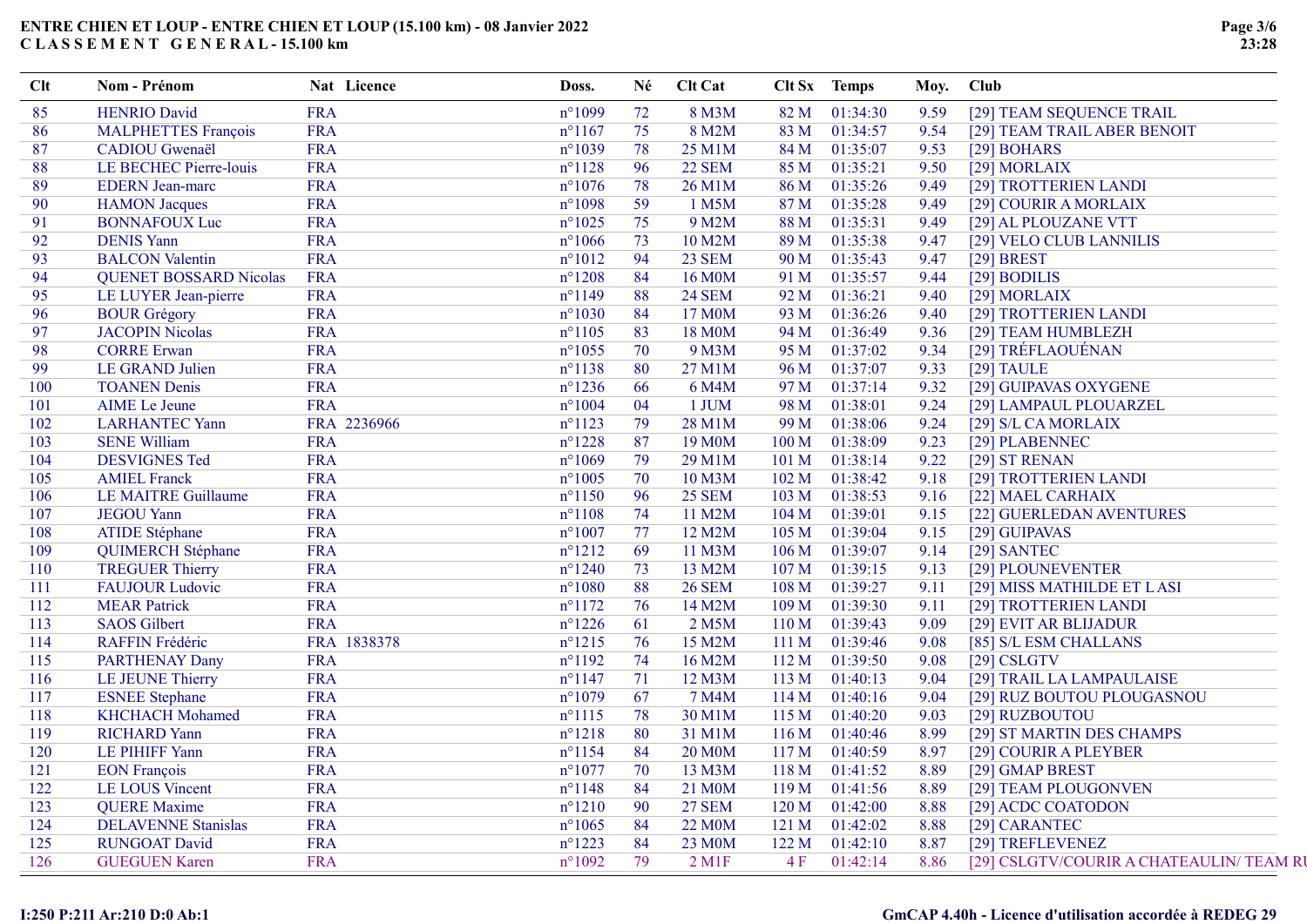| 85<br><b>HENRIO David</b><br><b>FRA</b><br>$n^{\circ}1099$<br>82 M<br>01:34:30<br>9.59<br>72<br>8 M3M<br>[29] TEAM SEQUENCE TRAIL<br><b>FRA</b><br>75<br><b>MALPHETTES François</b><br>$n^{\circ}1167$<br>8 M2M<br>83 M<br>01:34:57<br>9.54<br>86<br>[29] TEAM TRAIL ABER BENOIT<br><b>FRA</b><br>CADIOU Gwenaël<br>$n^{\circ}1039$<br>78<br>25 M1M<br>01:35:07<br>9.53<br>87<br>84 M<br>[29] BOHARS<br><b>FRA</b><br>96<br>01:35:21<br><b>LE BECHEC Pierre-louis</b><br>$n^{\circ}1128$<br><b>22 SEM</b><br>85 M<br>[29] MORLAIX<br>88<br>9.50<br><b>FRA</b><br>78<br>01:35:26<br>89<br><b>EDERN</b> Jean-marc<br>$n^{\circ}1076$<br>26 M1M<br>86 M<br>9.49<br>[29] TROTTERIEN LANDI<br><b>FRA</b><br>59<br>01:35:28<br><b>HAMON</b> Jacques<br>$n^{\circ}1098$<br>1 M5M<br>87 M<br>9.49<br>90<br>[29] COURIR A MORLAIX<br><b>FRA</b><br>75<br>9 M2M<br>91<br><b>BONNAFOUX Luc</b><br>$n^{\circ}1025$<br>88 M<br>01:35:31<br>9.49<br>[29] AL PLOUZANE VTT<br><b>DENIS Yann</b><br><b>FRA</b><br>92<br>$n^{\circ}1066$<br>73<br>10 M2M<br>89 M<br>01:35:38<br>9.47<br>[29] VELO CLUB LANNILIS<br><b>FRA</b><br>94<br>93<br><b>BALCON Valentin</b><br><b>23 SEM</b><br>01:35:43<br>$n^{\circ}1012$<br>90 M<br>9.47<br>$[29]$ BREST<br>84<br><b>QUENET BOSSARD Nicolas</b><br><b>FRA</b><br>16 M0M<br>01:35:57<br>9.44<br>94<br>$n^{\circ}1208$<br>91 M<br>[29] BODILIS<br><b>FRA</b><br>$n^{\circ}1149$<br>88<br><b>24 SEM</b><br>92 M<br>01:36:21<br>95<br>LE LUYER Jean-pierre<br>9.40<br>[29] MORLAIX<br>84<br><b>FRA</b><br>01:36:26<br>[29] TROTTERIEN LANDI<br><b>BOUR Grégory</b><br>$n^{\circ}1030$<br>17 M0M<br>93 M<br>9.40<br>96<br><b>JACOPIN Nicolas</b><br><b>FRA</b><br>83<br>$n^{\circ}1105$<br>18 M0M<br>94 M<br>01:36:49<br>9.36<br>[29] TEAM HUMBLEZH<br>97<br><b>FRA</b><br>70<br>[29] TRÉFLAOUÉNAN<br><b>CORRE Erwan</b><br>$n^{\circ}1055$<br>9 M3M<br>95 M<br>01:37:02<br>9.34<br>98<br><b>FRA</b><br>LE GRAND Julien<br>$n^{\circ}1138$<br>80<br>27 M1M<br>96 M<br>01:37:07<br>9.33<br>$[29]$ TAULE<br>99<br>66<br><b>FRA</b><br>01:37:14<br>[29] GUIPAVAS OXYGENE<br>100<br><b>TOANEN Denis</b><br>$n^{\circ}$ 1236<br>6 M4M<br>97 M<br>9.32<br><b>FRA</b><br>04<br>1 JUM<br>01:38:01<br><b>AIME</b> Le Jeune<br>$n^{\circ}1004$<br>98 M<br>9.24<br>[29] LAMPAUL PLOUARZEL<br>101<br>FRA 2236966<br>$n^{\circ}1123$<br>79<br>28 M1M<br>01:38:06<br><b>LARHANTEC Yann</b><br>99 M<br>9.24<br>[29] S/L CA MORLAIX<br>102<br><b>FRA</b><br>87<br>01:38:09<br><b>SENE William</b><br>$n^{\circ}1228$<br>19 M0M<br>100 M<br>103<br>9.23<br>[29] PLABENNEC<br><b>FRA</b><br><b>DESVIGNES Ted</b><br>$n^{\circ}1069$<br>79<br>29 M1M<br>101 M<br>01:38:14<br>9.22<br>104<br>[29] ST RENAN<br><b>FRA</b><br>70<br><b>AMIEL Franck</b><br>$n^{\circ}1005$<br>10 M3M<br>102 <sub>M</sub><br>01:38:42<br>9.18<br>[29] TROTTERIEN LANDI<br>105<br><b>FRA</b><br><b>LE MAITRE Guillaume</b><br>$n^{\circ}1150$<br>96<br><b>25 SEM</b><br>01:38:53<br>106<br>103 M<br>9.16<br>[22] MAEL CARHAIX<br><b>FRA</b><br>74<br>01:39:01<br>107<br><b>JEGOU Yann</b><br>$n^{\circ}1108$<br>11 M2M<br>104 M<br>[22] GUERLEDAN AVENTURES<br>9.15<br><b>FRA</b><br>12 M2M<br><b>ATIDE Stéphane</b><br>$n^{\circ}1007$<br>77<br>105 M<br>01:39:04<br>9.15<br>108<br>[29] GUIPAVAS<br><b>FRA</b><br>69<br>11 M3M<br>01:39:07<br>QUIMERCH Stéphane<br>$n^{\circ}1212$<br>106 M<br>9.14<br>[29] SANTEC<br>109<br><b>TREGUER Thierry</b><br><b>FRA</b><br>73<br>$n^{\circ}1240$<br>13 M2M<br>107 <sub>M</sub><br>01:39:15<br>[29] PLOUNEVENTER<br>110<br>9.13<br><b>FRA</b><br>88<br><b>FAUJOUR Ludovic</b><br><b>26 SEM</b><br>108 M<br>01:39:27<br>$n^{\circ}1080$<br>9.11<br>[29] MISS MATHILDE ET LASI<br>111<br><b>MEAR Patrick</b><br><b>FRA</b><br>76<br>14 M2M<br>01:39:30<br>9.11<br>$n^{\circ}1172$<br>109 <sub>M</sub><br>[29] TROTTERIEN LANDI<br>112<br><b>SAOS</b> Gilbert<br><b>FRA</b><br>$n^{\circ}1226$<br>2 M5M<br>01:39:43<br>61<br>110 <sub>M</sub><br>9.09<br>[29] EVIT AR BLIJADUR<br>113<br>FRA 1838378<br>76<br>RAFFIN Frédéric<br>$n^{\circ}1215$<br>15 M2M<br>01:39:46<br>114<br>111 M<br>9.08<br>[85] S/L ESM CHALLANS<br><b>FRA</b><br>74<br><b>PARTHENAY Dany</b><br>$n^{\circ}1192$<br>16 M2M<br>112M<br>01:39:50<br>9.08<br>$[29]$ CSLGTV<br>115<br><b>FRA</b><br>LE JEUNE Thierry<br>$n^{\circ}1147$<br>71<br>12 M3M<br>113 M<br>01:40:13<br>[29] TRAIL LA LAMPAULAISE<br>9.04<br>116<br><b>FRA</b><br><b>ESNEE</b> Stephane<br>$n^{\circ}1079$<br>67<br>7 M4M<br>114M<br>01:40:16<br>9.04<br>[29] RUZ BOUTOU PLOUGASNOU<br>117<br><b>KHCHACH Mohamed</b><br><b>FRA</b><br>78<br>30 M1M<br>01:40:20<br>118<br>$n^{\circ}1115$<br>115M<br>9.03<br>[29] RUZBOUTOU<br><b>FRA</b><br>80<br>31 M1M<br>119<br><b>RICHARD Yann</b><br>$n^{\circ}1218$<br>116M<br>01:40:46<br>8.99<br>[29] ST MARTIN DES CHAMPS<br><b>FRA</b><br>$n^{\circ}1154$<br>84<br><b>20 M0M</b><br>117 <sub>M</sub><br>LE PIHIFF Yann<br>01:40:59<br>8.97<br>[29] COURIR A PLEYBER<br>120<br>70<br><b>FRA</b><br>$n^{\circ}1077$<br>13 M3M<br>118 M<br>01:41:52<br>[29] GMAP BREST<br>121<br><b>EON François</b><br>8.89<br><b>LE LOUS Vincent</b><br><b>FRA</b><br>84<br>21 M0M<br>119M<br>01:41:56<br>122<br>$n^{\circ}1148$<br>8.89<br>[29] TEAM PLOUGONVEN<br><b>FRA</b><br>90<br><b>QUERE</b> Maxime<br>$n^{\circ}1210$<br><b>27 SEM</b><br>01:42:00<br>8.88<br>[29] ACDC COATODON<br>123<br>120 <sub>M</sub><br><b>DELAVENNE Stanislas</b><br><b>FRA</b><br>84<br>22 M <sub>0</sub> M<br>[29] CARANTEC<br>124<br>$n^{\circ}1065$<br>121 M<br>01:42:02<br>8.88<br>84<br><b>FRA</b><br><b>RUNGOAT David</b><br>$n^{\circ}1223$<br>23 M0M<br>01:42:10<br>125<br>122M<br>8.87<br>[29] TREFLEVENEZ<br>79<br>8.86 | <b>Clt</b> | Nom - Prénom         | Nat Licence | Doss.           | Né | <b>Clt Cat</b> |    | Clt Sx Temps | Moy. | <b>Club</b>                              |
|-------------------------------------------------------------------------------------------------------------------------------------------------------------------------------------------------------------------------------------------------------------------------------------------------------------------------------------------------------------------------------------------------------------------------------------------------------------------------------------------------------------------------------------------------------------------------------------------------------------------------------------------------------------------------------------------------------------------------------------------------------------------------------------------------------------------------------------------------------------------------------------------------------------------------------------------------------------------------------------------------------------------------------------------------------------------------------------------------------------------------------------------------------------------------------------------------------------------------------------------------------------------------------------------------------------------------------------------------------------------------------------------------------------------------------------------------------------------------------------------------------------------------------------------------------------------------------------------------------------------------------------------------------------------------------------------------------------------------------------------------------------------------------------------------------------------------------------------------------------------------------------------------------------------------------------------------------------------------------------------------------------------------------------------------------------------------------------------------------------------------------------------------------------------------------------------------------------------------------------------------------------------------------------------------------------------------------------------------------------------------------------------------------------------------------------------------------------------------------------------------------------------------------------------------------------------------------------------------------------------------------------------------------------------------------------------------------------------------------------------------------------------------------------------------------------------------------------------------------------------------------------------------------------------------------------------------------------------------------------------------------------------------------------------------------------------------------------------------------------------------------------------------------------------------------------------------------------------------------------------------------------------------------------------------------------------------------------------------------------------------------------------------------------------------------------------------------------------------------------------------------------------------------------------------------------------------------------------------------------------------------------------------------------------------------------------------------------------------------------------------------------------------------------------------------------------------------------------------------------------------------------------------------------------------------------------------------------------------------------------------------------------------------------------------------------------------------------------------------------------------------------------------------------------------------------------------------------------------------------------------------------------------------------------------------------------------------------------------------------------------------------------------------------------------------------------------------------------------------------------------------------------------------------------------------------------------------------------------------------------------------------------------------------------------------------------------------------------------------------------------------------------------------------------------------------------------------------------------------------------------------------------------------------------------------------------------------------------------------------------------------------------------------------------------------------------------------------------------------------------------------------------------------------------------------------------------------------------------------------------------------------------------------------------------------------------------------------------------------------------------------------------------------------------------------------------------------------------------------------------------------------------------------------------------------------------------------------------------------------------------------------------------------------------------------------------------------------|------------|----------------------|-------------|-----------------|----|----------------|----|--------------|------|------------------------------------------|
|                                                                                                                                                                                                                                                                                                                                                                                                                                                                                                                                                                                                                                                                                                                                                                                                                                                                                                                                                                                                                                                                                                                                                                                                                                                                                                                                                                                                                                                                                                                                                                                                                                                                                                                                                                                                                                                                                                                                                                                                                                                                                                                                                                                                                                                                                                                                                                                                                                                                                                                                                                                                                                                                                                                                                                                                                                                                                                                                                                                                                                                                                                                                                                                                                                                                                                                                                                                                                                                                                                                                                                                                                                                                                                                                                                                                                                                                                                                                                                                                                                                                                                                                                                                                                                                                                                                                                                                                                                                                                                                                                                                                                                                                                                                                                                                                                                                                                                                                                                                                                                                                                                                                                                                                                                                                                                                                                                                                                                                                                                                                                                                                                                                                                                             |            |                      |             |                 |    |                |    |              |      |                                          |
|                                                                                                                                                                                                                                                                                                                                                                                                                                                                                                                                                                                                                                                                                                                                                                                                                                                                                                                                                                                                                                                                                                                                                                                                                                                                                                                                                                                                                                                                                                                                                                                                                                                                                                                                                                                                                                                                                                                                                                                                                                                                                                                                                                                                                                                                                                                                                                                                                                                                                                                                                                                                                                                                                                                                                                                                                                                                                                                                                                                                                                                                                                                                                                                                                                                                                                                                                                                                                                                                                                                                                                                                                                                                                                                                                                                                                                                                                                                                                                                                                                                                                                                                                                                                                                                                                                                                                                                                                                                                                                                                                                                                                                                                                                                                                                                                                                                                                                                                                                                                                                                                                                                                                                                                                                                                                                                                                                                                                                                                                                                                                                                                                                                                                                             |            |                      |             |                 |    |                |    |              |      |                                          |
|                                                                                                                                                                                                                                                                                                                                                                                                                                                                                                                                                                                                                                                                                                                                                                                                                                                                                                                                                                                                                                                                                                                                                                                                                                                                                                                                                                                                                                                                                                                                                                                                                                                                                                                                                                                                                                                                                                                                                                                                                                                                                                                                                                                                                                                                                                                                                                                                                                                                                                                                                                                                                                                                                                                                                                                                                                                                                                                                                                                                                                                                                                                                                                                                                                                                                                                                                                                                                                                                                                                                                                                                                                                                                                                                                                                                                                                                                                                                                                                                                                                                                                                                                                                                                                                                                                                                                                                                                                                                                                                                                                                                                                                                                                                                                                                                                                                                                                                                                                                                                                                                                                                                                                                                                                                                                                                                                                                                                                                                                                                                                                                                                                                                                                             |            |                      |             |                 |    |                |    |              |      |                                          |
|                                                                                                                                                                                                                                                                                                                                                                                                                                                                                                                                                                                                                                                                                                                                                                                                                                                                                                                                                                                                                                                                                                                                                                                                                                                                                                                                                                                                                                                                                                                                                                                                                                                                                                                                                                                                                                                                                                                                                                                                                                                                                                                                                                                                                                                                                                                                                                                                                                                                                                                                                                                                                                                                                                                                                                                                                                                                                                                                                                                                                                                                                                                                                                                                                                                                                                                                                                                                                                                                                                                                                                                                                                                                                                                                                                                                                                                                                                                                                                                                                                                                                                                                                                                                                                                                                                                                                                                                                                                                                                                                                                                                                                                                                                                                                                                                                                                                                                                                                                                                                                                                                                                                                                                                                                                                                                                                                                                                                                                                                                                                                                                                                                                                                                             |            |                      |             |                 |    |                |    |              |      |                                          |
|                                                                                                                                                                                                                                                                                                                                                                                                                                                                                                                                                                                                                                                                                                                                                                                                                                                                                                                                                                                                                                                                                                                                                                                                                                                                                                                                                                                                                                                                                                                                                                                                                                                                                                                                                                                                                                                                                                                                                                                                                                                                                                                                                                                                                                                                                                                                                                                                                                                                                                                                                                                                                                                                                                                                                                                                                                                                                                                                                                                                                                                                                                                                                                                                                                                                                                                                                                                                                                                                                                                                                                                                                                                                                                                                                                                                                                                                                                                                                                                                                                                                                                                                                                                                                                                                                                                                                                                                                                                                                                                                                                                                                                                                                                                                                                                                                                                                                                                                                                                                                                                                                                                                                                                                                                                                                                                                                                                                                                                                                                                                                                                                                                                                                                             |            |                      |             |                 |    |                |    |              |      |                                          |
|                                                                                                                                                                                                                                                                                                                                                                                                                                                                                                                                                                                                                                                                                                                                                                                                                                                                                                                                                                                                                                                                                                                                                                                                                                                                                                                                                                                                                                                                                                                                                                                                                                                                                                                                                                                                                                                                                                                                                                                                                                                                                                                                                                                                                                                                                                                                                                                                                                                                                                                                                                                                                                                                                                                                                                                                                                                                                                                                                                                                                                                                                                                                                                                                                                                                                                                                                                                                                                                                                                                                                                                                                                                                                                                                                                                                                                                                                                                                                                                                                                                                                                                                                                                                                                                                                                                                                                                                                                                                                                                                                                                                                                                                                                                                                                                                                                                                                                                                                                                                                                                                                                                                                                                                                                                                                                                                                                                                                                                                                                                                                                                                                                                                                                             |            |                      |             |                 |    |                |    |              |      |                                          |
|                                                                                                                                                                                                                                                                                                                                                                                                                                                                                                                                                                                                                                                                                                                                                                                                                                                                                                                                                                                                                                                                                                                                                                                                                                                                                                                                                                                                                                                                                                                                                                                                                                                                                                                                                                                                                                                                                                                                                                                                                                                                                                                                                                                                                                                                                                                                                                                                                                                                                                                                                                                                                                                                                                                                                                                                                                                                                                                                                                                                                                                                                                                                                                                                                                                                                                                                                                                                                                                                                                                                                                                                                                                                                                                                                                                                                                                                                                                                                                                                                                                                                                                                                                                                                                                                                                                                                                                                                                                                                                                                                                                                                                                                                                                                                                                                                                                                                                                                                                                                                                                                                                                                                                                                                                                                                                                                                                                                                                                                                                                                                                                                                                                                                                             |            |                      |             |                 |    |                |    |              |      |                                          |
|                                                                                                                                                                                                                                                                                                                                                                                                                                                                                                                                                                                                                                                                                                                                                                                                                                                                                                                                                                                                                                                                                                                                                                                                                                                                                                                                                                                                                                                                                                                                                                                                                                                                                                                                                                                                                                                                                                                                                                                                                                                                                                                                                                                                                                                                                                                                                                                                                                                                                                                                                                                                                                                                                                                                                                                                                                                                                                                                                                                                                                                                                                                                                                                                                                                                                                                                                                                                                                                                                                                                                                                                                                                                                                                                                                                                                                                                                                                                                                                                                                                                                                                                                                                                                                                                                                                                                                                                                                                                                                                                                                                                                                                                                                                                                                                                                                                                                                                                                                                                                                                                                                                                                                                                                                                                                                                                                                                                                                                                                                                                                                                                                                                                                                             |            |                      |             |                 |    |                |    |              |      |                                          |
|                                                                                                                                                                                                                                                                                                                                                                                                                                                                                                                                                                                                                                                                                                                                                                                                                                                                                                                                                                                                                                                                                                                                                                                                                                                                                                                                                                                                                                                                                                                                                                                                                                                                                                                                                                                                                                                                                                                                                                                                                                                                                                                                                                                                                                                                                                                                                                                                                                                                                                                                                                                                                                                                                                                                                                                                                                                                                                                                                                                                                                                                                                                                                                                                                                                                                                                                                                                                                                                                                                                                                                                                                                                                                                                                                                                                                                                                                                                                                                                                                                                                                                                                                                                                                                                                                                                                                                                                                                                                                                                                                                                                                                                                                                                                                                                                                                                                                                                                                                                                                                                                                                                                                                                                                                                                                                                                                                                                                                                                                                                                                                                                                                                                                                             |            |                      |             |                 |    |                |    |              |      |                                          |
|                                                                                                                                                                                                                                                                                                                                                                                                                                                                                                                                                                                                                                                                                                                                                                                                                                                                                                                                                                                                                                                                                                                                                                                                                                                                                                                                                                                                                                                                                                                                                                                                                                                                                                                                                                                                                                                                                                                                                                                                                                                                                                                                                                                                                                                                                                                                                                                                                                                                                                                                                                                                                                                                                                                                                                                                                                                                                                                                                                                                                                                                                                                                                                                                                                                                                                                                                                                                                                                                                                                                                                                                                                                                                                                                                                                                                                                                                                                                                                                                                                                                                                                                                                                                                                                                                                                                                                                                                                                                                                                                                                                                                                                                                                                                                                                                                                                                                                                                                                                                                                                                                                                                                                                                                                                                                                                                                                                                                                                                                                                                                                                                                                                                                                             |            |                      |             |                 |    |                |    |              |      |                                          |
|                                                                                                                                                                                                                                                                                                                                                                                                                                                                                                                                                                                                                                                                                                                                                                                                                                                                                                                                                                                                                                                                                                                                                                                                                                                                                                                                                                                                                                                                                                                                                                                                                                                                                                                                                                                                                                                                                                                                                                                                                                                                                                                                                                                                                                                                                                                                                                                                                                                                                                                                                                                                                                                                                                                                                                                                                                                                                                                                                                                                                                                                                                                                                                                                                                                                                                                                                                                                                                                                                                                                                                                                                                                                                                                                                                                                                                                                                                                                                                                                                                                                                                                                                                                                                                                                                                                                                                                                                                                                                                                                                                                                                                                                                                                                                                                                                                                                                                                                                                                                                                                                                                                                                                                                                                                                                                                                                                                                                                                                                                                                                                                                                                                                                                             |            |                      |             |                 |    |                |    |              |      |                                          |
|                                                                                                                                                                                                                                                                                                                                                                                                                                                                                                                                                                                                                                                                                                                                                                                                                                                                                                                                                                                                                                                                                                                                                                                                                                                                                                                                                                                                                                                                                                                                                                                                                                                                                                                                                                                                                                                                                                                                                                                                                                                                                                                                                                                                                                                                                                                                                                                                                                                                                                                                                                                                                                                                                                                                                                                                                                                                                                                                                                                                                                                                                                                                                                                                                                                                                                                                                                                                                                                                                                                                                                                                                                                                                                                                                                                                                                                                                                                                                                                                                                                                                                                                                                                                                                                                                                                                                                                                                                                                                                                                                                                                                                                                                                                                                                                                                                                                                                                                                                                                                                                                                                                                                                                                                                                                                                                                                                                                                                                                                                                                                                                                                                                                                                             |            |                      |             |                 |    |                |    |              |      |                                          |
|                                                                                                                                                                                                                                                                                                                                                                                                                                                                                                                                                                                                                                                                                                                                                                                                                                                                                                                                                                                                                                                                                                                                                                                                                                                                                                                                                                                                                                                                                                                                                                                                                                                                                                                                                                                                                                                                                                                                                                                                                                                                                                                                                                                                                                                                                                                                                                                                                                                                                                                                                                                                                                                                                                                                                                                                                                                                                                                                                                                                                                                                                                                                                                                                                                                                                                                                                                                                                                                                                                                                                                                                                                                                                                                                                                                                                                                                                                                                                                                                                                                                                                                                                                                                                                                                                                                                                                                                                                                                                                                                                                                                                                                                                                                                                                                                                                                                                                                                                                                                                                                                                                                                                                                                                                                                                                                                                                                                                                                                                                                                                                                                                                                                                                             |            |                      |             |                 |    |                |    |              |      |                                          |
|                                                                                                                                                                                                                                                                                                                                                                                                                                                                                                                                                                                                                                                                                                                                                                                                                                                                                                                                                                                                                                                                                                                                                                                                                                                                                                                                                                                                                                                                                                                                                                                                                                                                                                                                                                                                                                                                                                                                                                                                                                                                                                                                                                                                                                                                                                                                                                                                                                                                                                                                                                                                                                                                                                                                                                                                                                                                                                                                                                                                                                                                                                                                                                                                                                                                                                                                                                                                                                                                                                                                                                                                                                                                                                                                                                                                                                                                                                                                                                                                                                                                                                                                                                                                                                                                                                                                                                                                                                                                                                                                                                                                                                                                                                                                                                                                                                                                                                                                                                                                                                                                                                                                                                                                                                                                                                                                                                                                                                                                                                                                                                                                                                                                                                             |            |                      |             |                 |    |                |    |              |      |                                          |
|                                                                                                                                                                                                                                                                                                                                                                                                                                                                                                                                                                                                                                                                                                                                                                                                                                                                                                                                                                                                                                                                                                                                                                                                                                                                                                                                                                                                                                                                                                                                                                                                                                                                                                                                                                                                                                                                                                                                                                                                                                                                                                                                                                                                                                                                                                                                                                                                                                                                                                                                                                                                                                                                                                                                                                                                                                                                                                                                                                                                                                                                                                                                                                                                                                                                                                                                                                                                                                                                                                                                                                                                                                                                                                                                                                                                                                                                                                                                                                                                                                                                                                                                                                                                                                                                                                                                                                                                                                                                                                                                                                                                                                                                                                                                                                                                                                                                                                                                                                                                                                                                                                                                                                                                                                                                                                                                                                                                                                                                                                                                                                                                                                                                                                             |            |                      |             |                 |    |                |    |              |      |                                          |
|                                                                                                                                                                                                                                                                                                                                                                                                                                                                                                                                                                                                                                                                                                                                                                                                                                                                                                                                                                                                                                                                                                                                                                                                                                                                                                                                                                                                                                                                                                                                                                                                                                                                                                                                                                                                                                                                                                                                                                                                                                                                                                                                                                                                                                                                                                                                                                                                                                                                                                                                                                                                                                                                                                                                                                                                                                                                                                                                                                                                                                                                                                                                                                                                                                                                                                                                                                                                                                                                                                                                                                                                                                                                                                                                                                                                                                                                                                                                                                                                                                                                                                                                                                                                                                                                                                                                                                                                                                                                                                                                                                                                                                                                                                                                                                                                                                                                                                                                                                                                                                                                                                                                                                                                                                                                                                                                                                                                                                                                                                                                                                                                                                                                                                             |            |                      |             |                 |    |                |    |              |      |                                          |
|                                                                                                                                                                                                                                                                                                                                                                                                                                                                                                                                                                                                                                                                                                                                                                                                                                                                                                                                                                                                                                                                                                                                                                                                                                                                                                                                                                                                                                                                                                                                                                                                                                                                                                                                                                                                                                                                                                                                                                                                                                                                                                                                                                                                                                                                                                                                                                                                                                                                                                                                                                                                                                                                                                                                                                                                                                                                                                                                                                                                                                                                                                                                                                                                                                                                                                                                                                                                                                                                                                                                                                                                                                                                                                                                                                                                                                                                                                                                                                                                                                                                                                                                                                                                                                                                                                                                                                                                                                                                                                                                                                                                                                                                                                                                                                                                                                                                                                                                                                                                                                                                                                                                                                                                                                                                                                                                                                                                                                                                                                                                                                                                                                                                                                             |            |                      |             |                 |    |                |    |              |      |                                          |
|                                                                                                                                                                                                                                                                                                                                                                                                                                                                                                                                                                                                                                                                                                                                                                                                                                                                                                                                                                                                                                                                                                                                                                                                                                                                                                                                                                                                                                                                                                                                                                                                                                                                                                                                                                                                                                                                                                                                                                                                                                                                                                                                                                                                                                                                                                                                                                                                                                                                                                                                                                                                                                                                                                                                                                                                                                                                                                                                                                                                                                                                                                                                                                                                                                                                                                                                                                                                                                                                                                                                                                                                                                                                                                                                                                                                                                                                                                                                                                                                                                                                                                                                                                                                                                                                                                                                                                                                                                                                                                                                                                                                                                                                                                                                                                                                                                                                                                                                                                                                                                                                                                                                                                                                                                                                                                                                                                                                                                                                                                                                                                                                                                                                                                             |            |                      |             |                 |    |                |    |              |      |                                          |
|                                                                                                                                                                                                                                                                                                                                                                                                                                                                                                                                                                                                                                                                                                                                                                                                                                                                                                                                                                                                                                                                                                                                                                                                                                                                                                                                                                                                                                                                                                                                                                                                                                                                                                                                                                                                                                                                                                                                                                                                                                                                                                                                                                                                                                                                                                                                                                                                                                                                                                                                                                                                                                                                                                                                                                                                                                                                                                                                                                                                                                                                                                                                                                                                                                                                                                                                                                                                                                                                                                                                                                                                                                                                                                                                                                                                                                                                                                                                                                                                                                                                                                                                                                                                                                                                                                                                                                                                                                                                                                                                                                                                                                                                                                                                                                                                                                                                                                                                                                                                                                                                                                                                                                                                                                                                                                                                                                                                                                                                                                                                                                                                                                                                                                             |            |                      |             |                 |    |                |    |              |      |                                          |
|                                                                                                                                                                                                                                                                                                                                                                                                                                                                                                                                                                                                                                                                                                                                                                                                                                                                                                                                                                                                                                                                                                                                                                                                                                                                                                                                                                                                                                                                                                                                                                                                                                                                                                                                                                                                                                                                                                                                                                                                                                                                                                                                                                                                                                                                                                                                                                                                                                                                                                                                                                                                                                                                                                                                                                                                                                                                                                                                                                                                                                                                                                                                                                                                                                                                                                                                                                                                                                                                                                                                                                                                                                                                                                                                                                                                                                                                                                                                                                                                                                                                                                                                                                                                                                                                                                                                                                                                                                                                                                                                                                                                                                                                                                                                                                                                                                                                                                                                                                                                                                                                                                                                                                                                                                                                                                                                                                                                                                                                                                                                                                                                                                                                                                             |            |                      |             |                 |    |                |    |              |      |                                          |
|                                                                                                                                                                                                                                                                                                                                                                                                                                                                                                                                                                                                                                                                                                                                                                                                                                                                                                                                                                                                                                                                                                                                                                                                                                                                                                                                                                                                                                                                                                                                                                                                                                                                                                                                                                                                                                                                                                                                                                                                                                                                                                                                                                                                                                                                                                                                                                                                                                                                                                                                                                                                                                                                                                                                                                                                                                                                                                                                                                                                                                                                                                                                                                                                                                                                                                                                                                                                                                                                                                                                                                                                                                                                                                                                                                                                                                                                                                                                                                                                                                                                                                                                                                                                                                                                                                                                                                                                                                                                                                                                                                                                                                                                                                                                                                                                                                                                                                                                                                                                                                                                                                                                                                                                                                                                                                                                                                                                                                                                                                                                                                                                                                                                                                             |            |                      |             |                 |    |                |    |              |      |                                          |
|                                                                                                                                                                                                                                                                                                                                                                                                                                                                                                                                                                                                                                                                                                                                                                                                                                                                                                                                                                                                                                                                                                                                                                                                                                                                                                                                                                                                                                                                                                                                                                                                                                                                                                                                                                                                                                                                                                                                                                                                                                                                                                                                                                                                                                                                                                                                                                                                                                                                                                                                                                                                                                                                                                                                                                                                                                                                                                                                                                                                                                                                                                                                                                                                                                                                                                                                                                                                                                                                                                                                                                                                                                                                                                                                                                                                                                                                                                                                                                                                                                                                                                                                                                                                                                                                                                                                                                                                                                                                                                                                                                                                                                                                                                                                                                                                                                                                                                                                                                                                                                                                                                                                                                                                                                                                                                                                                                                                                                                                                                                                                                                                                                                                                                             |            |                      |             |                 |    |                |    |              |      |                                          |
|                                                                                                                                                                                                                                                                                                                                                                                                                                                                                                                                                                                                                                                                                                                                                                                                                                                                                                                                                                                                                                                                                                                                                                                                                                                                                                                                                                                                                                                                                                                                                                                                                                                                                                                                                                                                                                                                                                                                                                                                                                                                                                                                                                                                                                                                                                                                                                                                                                                                                                                                                                                                                                                                                                                                                                                                                                                                                                                                                                                                                                                                                                                                                                                                                                                                                                                                                                                                                                                                                                                                                                                                                                                                                                                                                                                                                                                                                                                                                                                                                                                                                                                                                                                                                                                                                                                                                                                                                                                                                                                                                                                                                                                                                                                                                                                                                                                                                                                                                                                                                                                                                                                                                                                                                                                                                                                                                                                                                                                                                                                                                                                                                                                                                                             |            |                      |             |                 |    |                |    |              |      |                                          |
|                                                                                                                                                                                                                                                                                                                                                                                                                                                                                                                                                                                                                                                                                                                                                                                                                                                                                                                                                                                                                                                                                                                                                                                                                                                                                                                                                                                                                                                                                                                                                                                                                                                                                                                                                                                                                                                                                                                                                                                                                                                                                                                                                                                                                                                                                                                                                                                                                                                                                                                                                                                                                                                                                                                                                                                                                                                                                                                                                                                                                                                                                                                                                                                                                                                                                                                                                                                                                                                                                                                                                                                                                                                                                                                                                                                                                                                                                                                                                                                                                                                                                                                                                                                                                                                                                                                                                                                                                                                                                                                                                                                                                                                                                                                                                                                                                                                                                                                                                                                                                                                                                                                                                                                                                                                                                                                                                                                                                                                                                                                                                                                                                                                                                                             |            |                      |             |                 |    |                |    |              |      |                                          |
|                                                                                                                                                                                                                                                                                                                                                                                                                                                                                                                                                                                                                                                                                                                                                                                                                                                                                                                                                                                                                                                                                                                                                                                                                                                                                                                                                                                                                                                                                                                                                                                                                                                                                                                                                                                                                                                                                                                                                                                                                                                                                                                                                                                                                                                                                                                                                                                                                                                                                                                                                                                                                                                                                                                                                                                                                                                                                                                                                                                                                                                                                                                                                                                                                                                                                                                                                                                                                                                                                                                                                                                                                                                                                                                                                                                                                                                                                                                                                                                                                                                                                                                                                                                                                                                                                                                                                                                                                                                                                                                                                                                                                                                                                                                                                                                                                                                                                                                                                                                                                                                                                                                                                                                                                                                                                                                                                                                                                                                                                                                                                                                                                                                                                                             |            |                      |             |                 |    |                |    |              |      |                                          |
|                                                                                                                                                                                                                                                                                                                                                                                                                                                                                                                                                                                                                                                                                                                                                                                                                                                                                                                                                                                                                                                                                                                                                                                                                                                                                                                                                                                                                                                                                                                                                                                                                                                                                                                                                                                                                                                                                                                                                                                                                                                                                                                                                                                                                                                                                                                                                                                                                                                                                                                                                                                                                                                                                                                                                                                                                                                                                                                                                                                                                                                                                                                                                                                                                                                                                                                                                                                                                                                                                                                                                                                                                                                                                                                                                                                                                                                                                                                                                                                                                                                                                                                                                                                                                                                                                                                                                                                                                                                                                                                                                                                                                                                                                                                                                                                                                                                                                                                                                                                                                                                                                                                                                                                                                                                                                                                                                                                                                                                                                                                                                                                                                                                                                                             |            |                      |             |                 |    |                |    |              |      |                                          |
|                                                                                                                                                                                                                                                                                                                                                                                                                                                                                                                                                                                                                                                                                                                                                                                                                                                                                                                                                                                                                                                                                                                                                                                                                                                                                                                                                                                                                                                                                                                                                                                                                                                                                                                                                                                                                                                                                                                                                                                                                                                                                                                                                                                                                                                                                                                                                                                                                                                                                                                                                                                                                                                                                                                                                                                                                                                                                                                                                                                                                                                                                                                                                                                                                                                                                                                                                                                                                                                                                                                                                                                                                                                                                                                                                                                                                                                                                                                                                                                                                                                                                                                                                                                                                                                                                                                                                                                                                                                                                                                                                                                                                                                                                                                                                                                                                                                                                                                                                                                                                                                                                                                                                                                                                                                                                                                                                                                                                                                                                                                                                                                                                                                                                                             |            |                      |             |                 |    |                |    |              |      |                                          |
|                                                                                                                                                                                                                                                                                                                                                                                                                                                                                                                                                                                                                                                                                                                                                                                                                                                                                                                                                                                                                                                                                                                                                                                                                                                                                                                                                                                                                                                                                                                                                                                                                                                                                                                                                                                                                                                                                                                                                                                                                                                                                                                                                                                                                                                                                                                                                                                                                                                                                                                                                                                                                                                                                                                                                                                                                                                                                                                                                                                                                                                                                                                                                                                                                                                                                                                                                                                                                                                                                                                                                                                                                                                                                                                                                                                                                                                                                                                                                                                                                                                                                                                                                                                                                                                                                                                                                                                                                                                                                                                                                                                                                                                                                                                                                                                                                                                                                                                                                                                                                                                                                                                                                                                                                                                                                                                                                                                                                                                                                                                                                                                                                                                                                                             |            |                      |             |                 |    |                |    |              |      |                                          |
|                                                                                                                                                                                                                                                                                                                                                                                                                                                                                                                                                                                                                                                                                                                                                                                                                                                                                                                                                                                                                                                                                                                                                                                                                                                                                                                                                                                                                                                                                                                                                                                                                                                                                                                                                                                                                                                                                                                                                                                                                                                                                                                                                                                                                                                                                                                                                                                                                                                                                                                                                                                                                                                                                                                                                                                                                                                                                                                                                                                                                                                                                                                                                                                                                                                                                                                                                                                                                                                                                                                                                                                                                                                                                                                                                                                                                                                                                                                                                                                                                                                                                                                                                                                                                                                                                                                                                                                                                                                                                                                                                                                                                                                                                                                                                                                                                                                                                                                                                                                                                                                                                                                                                                                                                                                                                                                                                                                                                                                                                                                                                                                                                                                                                                             |            |                      |             |                 |    |                |    |              |      |                                          |
|                                                                                                                                                                                                                                                                                                                                                                                                                                                                                                                                                                                                                                                                                                                                                                                                                                                                                                                                                                                                                                                                                                                                                                                                                                                                                                                                                                                                                                                                                                                                                                                                                                                                                                                                                                                                                                                                                                                                                                                                                                                                                                                                                                                                                                                                                                                                                                                                                                                                                                                                                                                                                                                                                                                                                                                                                                                                                                                                                                                                                                                                                                                                                                                                                                                                                                                                                                                                                                                                                                                                                                                                                                                                                                                                                                                                                                                                                                                                                                                                                                                                                                                                                                                                                                                                                                                                                                                                                                                                                                                                                                                                                                                                                                                                                                                                                                                                                                                                                                                                                                                                                                                                                                                                                                                                                                                                                                                                                                                                                                                                                                                                                                                                                                             |            |                      |             |                 |    |                |    |              |      |                                          |
|                                                                                                                                                                                                                                                                                                                                                                                                                                                                                                                                                                                                                                                                                                                                                                                                                                                                                                                                                                                                                                                                                                                                                                                                                                                                                                                                                                                                                                                                                                                                                                                                                                                                                                                                                                                                                                                                                                                                                                                                                                                                                                                                                                                                                                                                                                                                                                                                                                                                                                                                                                                                                                                                                                                                                                                                                                                                                                                                                                                                                                                                                                                                                                                                                                                                                                                                                                                                                                                                                                                                                                                                                                                                                                                                                                                                                                                                                                                                                                                                                                                                                                                                                                                                                                                                                                                                                                                                                                                                                                                                                                                                                                                                                                                                                                                                                                                                                                                                                                                                                                                                                                                                                                                                                                                                                                                                                                                                                                                                                                                                                                                                                                                                                                             |            |                      |             |                 |    |                |    |              |      |                                          |
|                                                                                                                                                                                                                                                                                                                                                                                                                                                                                                                                                                                                                                                                                                                                                                                                                                                                                                                                                                                                                                                                                                                                                                                                                                                                                                                                                                                                                                                                                                                                                                                                                                                                                                                                                                                                                                                                                                                                                                                                                                                                                                                                                                                                                                                                                                                                                                                                                                                                                                                                                                                                                                                                                                                                                                                                                                                                                                                                                                                                                                                                                                                                                                                                                                                                                                                                                                                                                                                                                                                                                                                                                                                                                                                                                                                                                                                                                                                                                                                                                                                                                                                                                                                                                                                                                                                                                                                                                                                                                                                                                                                                                                                                                                                                                                                                                                                                                                                                                                                                                                                                                                                                                                                                                                                                                                                                                                                                                                                                                                                                                                                                                                                                                                             |            |                      |             |                 |    |                |    |              |      |                                          |
|                                                                                                                                                                                                                                                                                                                                                                                                                                                                                                                                                                                                                                                                                                                                                                                                                                                                                                                                                                                                                                                                                                                                                                                                                                                                                                                                                                                                                                                                                                                                                                                                                                                                                                                                                                                                                                                                                                                                                                                                                                                                                                                                                                                                                                                                                                                                                                                                                                                                                                                                                                                                                                                                                                                                                                                                                                                                                                                                                                                                                                                                                                                                                                                                                                                                                                                                                                                                                                                                                                                                                                                                                                                                                                                                                                                                                                                                                                                                                                                                                                                                                                                                                                                                                                                                                                                                                                                                                                                                                                                                                                                                                                                                                                                                                                                                                                                                                                                                                                                                                                                                                                                                                                                                                                                                                                                                                                                                                                                                                                                                                                                                                                                                                                             |            |                      |             |                 |    |                |    |              |      |                                          |
|                                                                                                                                                                                                                                                                                                                                                                                                                                                                                                                                                                                                                                                                                                                                                                                                                                                                                                                                                                                                                                                                                                                                                                                                                                                                                                                                                                                                                                                                                                                                                                                                                                                                                                                                                                                                                                                                                                                                                                                                                                                                                                                                                                                                                                                                                                                                                                                                                                                                                                                                                                                                                                                                                                                                                                                                                                                                                                                                                                                                                                                                                                                                                                                                                                                                                                                                                                                                                                                                                                                                                                                                                                                                                                                                                                                                                                                                                                                                                                                                                                                                                                                                                                                                                                                                                                                                                                                                                                                                                                                                                                                                                                                                                                                                                                                                                                                                                                                                                                                                                                                                                                                                                                                                                                                                                                                                                                                                                                                                                                                                                                                                                                                                                                             |            |                      |             |                 |    |                |    |              |      |                                          |
|                                                                                                                                                                                                                                                                                                                                                                                                                                                                                                                                                                                                                                                                                                                                                                                                                                                                                                                                                                                                                                                                                                                                                                                                                                                                                                                                                                                                                                                                                                                                                                                                                                                                                                                                                                                                                                                                                                                                                                                                                                                                                                                                                                                                                                                                                                                                                                                                                                                                                                                                                                                                                                                                                                                                                                                                                                                                                                                                                                                                                                                                                                                                                                                                                                                                                                                                                                                                                                                                                                                                                                                                                                                                                                                                                                                                                                                                                                                                                                                                                                                                                                                                                                                                                                                                                                                                                                                                                                                                                                                                                                                                                                                                                                                                                                                                                                                                                                                                                                                                                                                                                                                                                                                                                                                                                                                                                                                                                                                                                                                                                                                                                                                                                                             |            |                      |             |                 |    |                |    |              |      |                                          |
|                                                                                                                                                                                                                                                                                                                                                                                                                                                                                                                                                                                                                                                                                                                                                                                                                                                                                                                                                                                                                                                                                                                                                                                                                                                                                                                                                                                                                                                                                                                                                                                                                                                                                                                                                                                                                                                                                                                                                                                                                                                                                                                                                                                                                                                                                                                                                                                                                                                                                                                                                                                                                                                                                                                                                                                                                                                                                                                                                                                                                                                                                                                                                                                                                                                                                                                                                                                                                                                                                                                                                                                                                                                                                                                                                                                                                                                                                                                                                                                                                                                                                                                                                                                                                                                                                                                                                                                                                                                                                                                                                                                                                                                                                                                                                                                                                                                                                                                                                                                                                                                                                                                                                                                                                                                                                                                                                                                                                                                                                                                                                                                                                                                                                                             |            |                      |             |                 |    |                |    |              |      |                                          |
|                                                                                                                                                                                                                                                                                                                                                                                                                                                                                                                                                                                                                                                                                                                                                                                                                                                                                                                                                                                                                                                                                                                                                                                                                                                                                                                                                                                                                                                                                                                                                                                                                                                                                                                                                                                                                                                                                                                                                                                                                                                                                                                                                                                                                                                                                                                                                                                                                                                                                                                                                                                                                                                                                                                                                                                                                                                                                                                                                                                                                                                                                                                                                                                                                                                                                                                                                                                                                                                                                                                                                                                                                                                                                                                                                                                                                                                                                                                                                                                                                                                                                                                                                                                                                                                                                                                                                                                                                                                                                                                                                                                                                                                                                                                                                                                                                                                                                                                                                                                                                                                                                                                                                                                                                                                                                                                                                                                                                                                                                                                                                                                                                                                                                                             |            |                      |             |                 |    |                |    |              |      |                                          |
|                                                                                                                                                                                                                                                                                                                                                                                                                                                                                                                                                                                                                                                                                                                                                                                                                                                                                                                                                                                                                                                                                                                                                                                                                                                                                                                                                                                                                                                                                                                                                                                                                                                                                                                                                                                                                                                                                                                                                                                                                                                                                                                                                                                                                                                                                                                                                                                                                                                                                                                                                                                                                                                                                                                                                                                                                                                                                                                                                                                                                                                                                                                                                                                                                                                                                                                                                                                                                                                                                                                                                                                                                                                                                                                                                                                                                                                                                                                                                                                                                                                                                                                                                                                                                                                                                                                                                                                                                                                                                                                                                                                                                                                                                                                                                                                                                                                                                                                                                                                                                                                                                                                                                                                                                                                                                                                                                                                                                                                                                                                                                                                                                                                                                                             |            |                      |             |                 |    |                |    |              |      |                                          |
|                                                                                                                                                                                                                                                                                                                                                                                                                                                                                                                                                                                                                                                                                                                                                                                                                                                                                                                                                                                                                                                                                                                                                                                                                                                                                                                                                                                                                                                                                                                                                                                                                                                                                                                                                                                                                                                                                                                                                                                                                                                                                                                                                                                                                                                                                                                                                                                                                                                                                                                                                                                                                                                                                                                                                                                                                                                                                                                                                                                                                                                                                                                                                                                                                                                                                                                                                                                                                                                                                                                                                                                                                                                                                                                                                                                                                                                                                                                                                                                                                                                                                                                                                                                                                                                                                                                                                                                                                                                                                                                                                                                                                                                                                                                                                                                                                                                                                                                                                                                                                                                                                                                                                                                                                                                                                                                                                                                                                                                                                                                                                                                                                                                                                                             |            |                      |             |                 |    |                |    |              |      |                                          |
|                                                                                                                                                                                                                                                                                                                                                                                                                                                                                                                                                                                                                                                                                                                                                                                                                                                                                                                                                                                                                                                                                                                                                                                                                                                                                                                                                                                                                                                                                                                                                                                                                                                                                                                                                                                                                                                                                                                                                                                                                                                                                                                                                                                                                                                                                                                                                                                                                                                                                                                                                                                                                                                                                                                                                                                                                                                                                                                                                                                                                                                                                                                                                                                                                                                                                                                                                                                                                                                                                                                                                                                                                                                                                                                                                                                                                                                                                                                                                                                                                                                                                                                                                                                                                                                                                                                                                                                                                                                                                                                                                                                                                                                                                                                                                                                                                                                                                                                                                                                                                                                                                                                                                                                                                                                                                                                                                                                                                                                                                                                                                                                                                                                                                                             |            |                      |             |                 |    |                |    |              |      |                                          |
|                                                                                                                                                                                                                                                                                                                                                                                                                                                                                                                                                                                                                                                                                                                                                                                                                                                                                                                                                                                                                                                                                                                                                                                                                                                                                                                                                                                                                                                                                                                                                                                                                                                                                                                                                                                                                                                                                                                                                                                                                                                                                                                                                                                                                                                                                                                                                                                                                                                                                                                                                                                                                                                                                                                                                                                                                                                                                                                                                                                                                                                                                                                                                                                                                                                                                                                                                                                                                                                                                                                                                                                                                                                                                                                                                                                                                                                                                                                                                                                                                                                                                                                                                                                                                                                                                                                                                                                                                                                                                                                                                                                                                                                                                                                                                                                                                                                                                                                                                                                                                                                                                                                                                                                                                                                                                                                                                                                                                                                                                                                                                                                                                                                                                                             |            |                      |             |                 |    |                |    |              |      |                                          |
|                                                                                                                                                                                                                                                                                                                                                                                                                                                                                                                                                                                                                                                                                                                                                                                                                                                                                                                                                                                                                                                                                                                                                                                                                                                                                                                                                                                                                                                                                                                                                                                                                                                                                                                                                                                                                                                                                                                                                                                                                                                                                                                                                                                                                                                                                                                                                                                                                                                                                                                                                                                                                                                                                                                                                                                                                                                                                                                                                                                                                                                                                                                                                                                                                                                                                                                                                                                                                                                                                                                                                                                                                                                                                                                                                                                                                                                                                                                                                                                                                                                                                                                                                                                                                                                                                                                                                                                                                                                                                                                                                                                                                                                                                                                                                                                                                                                                                                                                                                                                                                                                                                                                                                                                                                                                                                                                                                                                                                                                                                                                                                                                                                                                                                             | 126        | <b>GUEGUEN Karen</b> | <b>FRA</b>  | $n^{\circ}1092$ |    | $2$ M1F        | 4F | 01:42:14     |      | [29] CSLGTV/COURIR A CHATEAULIN/ TEAM RU |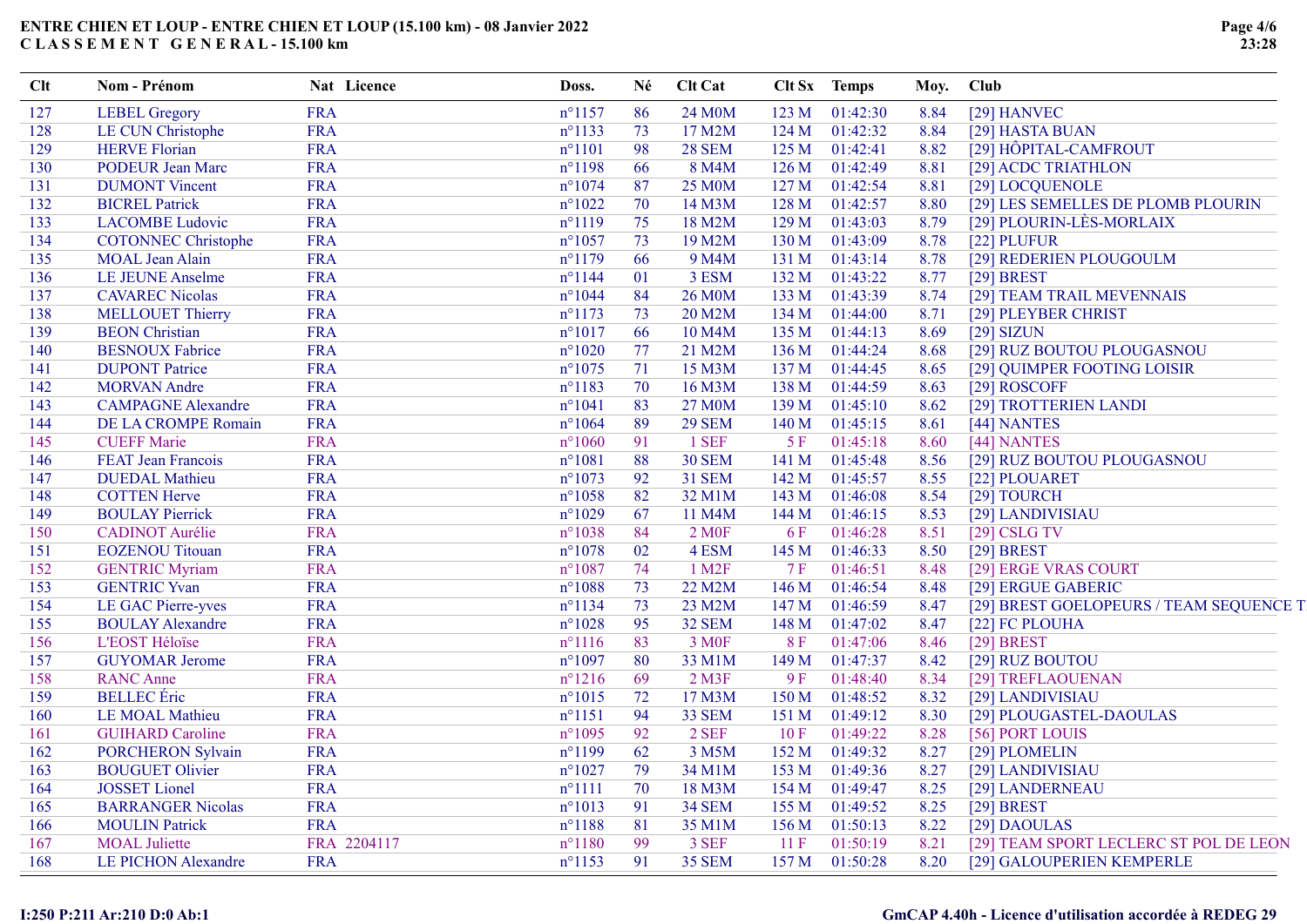| <b>Clt</b> | Nom - Prénom               | Nat Licence | Doss.                      | Né | <b>Clt Cat</b>     |                  | Clt Sx Temps |      | Moy. Club                               |
|------------|----------------------------|-------------|----------------------------|----|--------------------|------------------|--------------|------|-----------------------------------------|
| 127        | <b>LEBEL Gregory</b>       | <b>FRA</b>  | $n^{\circ}1157$            | 86 | 24 M0M             | 123 <sub>M</sub> | 01:42:30     | 8.84 | [29] HANVEC                             |
| 128        | LE CUN Christophe          | <b>FRA</b>  | $n^{\circ}1133$            | 73 | 17 M2M             | 124 M            | 01:42:32     | 8.84 | [29] HASTA BUAN                         |
| 129        | <b>HERVE Florian</b>       | <b>FRA</b>  | $n^{\circ}1101$            | 98 | <b>28 SEM</b>      | 125 <sub>M</sub> | 01:42:41     | 8.82 | [29] HÔPITAL-CAMFROUT                   |
| 130        | <b>PODEUR Jean Marc</b>    | <b>FRA</b>  | $n^{\circ}1198$            | 66 | 8 M4M              | 126M             | 01:42:49     | 8.81 | [29] ACDC TRIATHLON                     |
| 131        | <b>DUMONT</b> Vincent      | <b>FRA</b>  | $n^{\circ}1074$            | 87 | <b>25 M0M</b>      | 127 <sub>M</sub> | 01:42:54     | 8.81 | [29] LOCQUENOLE                         |
| 132        | <b>BICREL Patrick</b>      | <b>FRA</b>  | $n^{\circ}1022$            | 70 | 14 M3M             | 128 M            | 01:42:57     | 8.80 | [29] LES SEMELLES DE PLOMB PLOURIN      |
| 133        | <b>LACOMBE Ludovic</b>     | <b>FRA</b>  | $n^{\circ}1119$            | 75 | 18 M2M             | 129 <sub>M</sub> | 01:43:03     | 8.79 | [29] PLOURIN-LÈS-MORLAIX                |
| 134        | <b>COTONNEC Christophe</b> | <b>FRA</b>  | $n^{\circ}1057$            | 73 | 19 M2M             | 130 M            | 01:43:09     | 8.78 | [22] PLUFUR                             |
| 135        | <b>MOAL Jean Alain</b>     | <b>FRA</b>  | $n^{\circ}1179$            | 66 | 9 M4M              | 131 M            | 01:43:14     | 8.78 | [29] REDERIEN PLOUGOULM                 |
| 136        | LE JEUNE Anselme           | <b>FRA</b>  | $n^{\circ}$ 1144           | 01 | 3 ESM              | 132 M            | 01:43:22     | 8.77 | $[29]$ BREST                            |
| 137        | <b>CAVAREC Nicolas</b>     | <b>FRA</b>  | $n^{\circ}1044$            | 84 | 26 M0M             | 133 M            | 01:43:39     | 8.74 | [29] TEAM TRAIL MEVENNAIS               |
| 138        | <b>MELLOUET Thierry</b>    | <b>FRA</b>  | $n^{\circ}1173$            | 73 | 20 M2M             | 134 M            | 01:44:00     | 8.71 | [29] PLEYBER CHRIST                     |
| 139        | <b>BEON</b> Christian      | <b>FRA</b>  | $n^{\circ}1017$            | 66 | 10 M4M             | 135 M            | 01:44:13     | 8.69 | $[29]$ SIZUN                            |
| 140        | <b>BESNOUX Fabrice</b>     | <b>FRA</b>  | $n^{\circ}1020$            | 77 | 21 M2M             | 136 M            | 01:44:24     | 8.68 | [29] RUZ BOUTOU PLOUGASNOU              |
| 141        | <b>DUPONT Patrice</b>      | <b>FRA</b>  | $n^{\circ}1075$            | 71 | 15 M3M             | 137 <sub>M</sub> | 01:44:45     | 8.65 | [29] QUIMPER FOOTING LOISIR             |
| 142        | <b>MORVAN</b> Andre        | <b>FRA</b>  | $n^{\circ}1183$            | 70 | 16 M3M             | 138 M            | 01:44:59     | 8.63 | [29] ROSCOFF                            |
| 143        | <b>CAMPAGNE Alexandre</b>  | <b>FRA</b>  | $n^{\circ}1041$            | 83 | 27 M0M             | 139 M            | 01:45:10     | 8.62 | [29] TROTTERIEN LANDI                   |
| 144        | DE LA CROMPE Romain        | <b>FRA</b>  | $n^{\circ}1064$            | 89 | <b>29 SEM</b>      | 140 M            | 01:45:15     | 8.61 | [44] NANTES                             |
| 145        | <b>CUEFF Marie</b>         | <b>FRA</b>  | $n^{\circ}1060$            | 91 | 1 SEF              | 5F               | 01:45:18     | 8.60 | [44] NANTES                             |
| 146        | FEAT Jean Francois         | <b>FRA</b>  | $n^{\circ}1081$            | 88 | <b>30 SEM</b>      | 141 M            | 01:45:48     | 8.56 | [29] RUZ BOUTOU PLOUGASNOU              |
| 147        | <b>DUEDAL</b> Mathieu      | <b>FRA</b>  | $n^{\circ}1073$            | 92 | <b>31 SEM</b>      | 142M             | 01:45:57     | 8.55 | [22] PLOUARET                           |
| 148        | <b>COTTEN Herve</b>        | <b>FRA</b>  | $n^{\circ}1058$            | 82 | 32 M1M             | 143M             | 01:46:08     | 8.54 | [29] TOURCH                             |
| 149        | <b>BOULAY Pierrick</b>     | <b>FRA</b>  | $n^{\circ}1029$            | 67 | 11 M4M             | 144 M            | 01:46:15     | 8.53 | [29] LANDIVISIAU                        |
| 150        | <b>CADINOT</b> Aurélie     | <b>FRA</b>  | $n^{\circ}1038$            | 84 | 2 M <sub>OF</sub>  | 6 F              | 01:46:28     | 8.51 | $[29]$ CSLG TV                          |
| 151        | <b>EOZENOU Titouan</b>     | <b>FRA</b>  | $n^{\circ}1078$            | 02 | 4 ESM              | 145 M            | 01:46:33     | 8.50 | $[29]$ BREST                            |
| 152        | <b>GENTRIC Myriam</b>      | <b>FRA</b>  | $n^{\circ}1087$            | 74 | 1 M <sub>2</sub> F | 7F               | 01:46:51     | 8.48 | [29] ERGE VRAS COURT                    |
| 153        | <b>GENTRIC Yvan</b>        | <b>FRA</b>  | $n^{\circ}1\overline{088}$ | 73 | 22 M2M             | 146 M            | 01:46:54     | 8.48 | [29] ERGUE GABERIC                      |
| 154        | LE GAC Pierre-yves         | <b>FRA</b>  | $n^{\circ}1134$            | 73 | 23 M2M             | 147 M            | 01:46:59     | 8.47 | [29] BREST GOELOPEURS / TEAM SEQUENCE T |
| 155        | <b>BOULAY Alexandre</b>    | <b>FRA</b>  | $n^{\circ}1028$            | 95 | <b>32 SEM</b>      | 148 M            | 01:47:02     | 8.47 | [22] FC PLOUHA                          |
| 156        | <b>L'EOST Héloïse</b>      | <b>FRA</b>  | $n^{\circ}1116$            | 83 | 3 M <sub>OF</sub>  | 8F               | 01:47:06     | 8.46 | $[29]$ BREST                            |
| 157        | <b>GUYOMAR Jerome</b>      | <b>FRA</b>  | $n^{\circ}1097$            | 80 | 33 M1M             | 149 M            | 01:47:37     | 8.42 | [29] RUZ BOUTOU                         |
| 158        | <b>RANC Anne</b>           | <b>FRA</b>  | $n^{\circ}1216$            | 69 | $2$ M3F            | 9F               | 01:48:40     | 8.34 | [29] TREFLAOUENAN                       |
| 159        | <b>BELLEC</b> Éric         | <b>FRA</b>  | $n^{\circ}1015$            | 72 | 17 M3M             | 150 M            | 01:48:52     | 8.32 | [29] LANDIVISIAU                        |
| 160        | LE MOAL Mathieu            | <b>FRA</b>  | $n^{\circ}1151$            | 94 | 33 SEM             | 151 M            | 01:49:12     | 8.30 | [29] PLOUGASTEL-DAOULAS                 |
| 161        | <b>GUIHARD Caroline</b>    | <b>FRA</b>  | $n^{\circ}1095$            | 92 | 2 SEF              | 10F              | 01:49:22     | 8.28 | [56] PORT LOUIS                         |
| 162        | <b>PORCHERON Sylvain</b>   | <b>FRA</b>  | $n^{\circ}1199$            | 62 | 3 M5M              | 152 M            | 01:49:32     | 8.27 | [29] PLOMELIN                           |
| 163        | <b>BOUGUET Olivier</b>     | <b>FRA</b>  | $n^{\circ}1027$            | 79 | 34 M1M             | 153 M            | 01:49:36     | 8.27 | [29] LANDIVISIAU                        |
| 164        | JOSSET Lionel              | <b>FRA</b>  | $n^{\circ}1111$            | 70 | 18 M3M             | 154 M            | 01:49:47     | 8.25 | [29] LANDERNEAU                         |
| 165        | <b>BARRANGER Nicolas</b>   | <b>FRA</b>  | $n^{\circ}1013$            | 91 | <b>34 SEM</b>      | 155 M            | 01:49:52     | 8.25 | $[29]$ BREST                            |
| 166        | <b>MOULIN Patrick</b>      | <b>FRA</b>  | $n^{\circ}1188$            | 81 | 35 M1M             | 156 M            | 01:50:13     | 8.22 | [29] DAOULAS                            |
| 167        | <b>MOAL</b> Juliette       | FRA 2204117 | $n^{\circ}1180$            | 99 | 3 SEF              | 11F              | 01:50:19     | 8.21 | [29] TEAM SPORT LECLERC ST POL DE LEON  |
| 168        | LE PICHON Alexandre        | <b>FRA</b>  | $n^{\circ}$ 1153           | 91 | <b>35 SEM</b>      | 157 M            | 01:50:28     | 8.20 | [29] GALOUPERIEN KEMPERLE               |
|            |                            |             |                            |    |                    |                  |              |      |                                         |